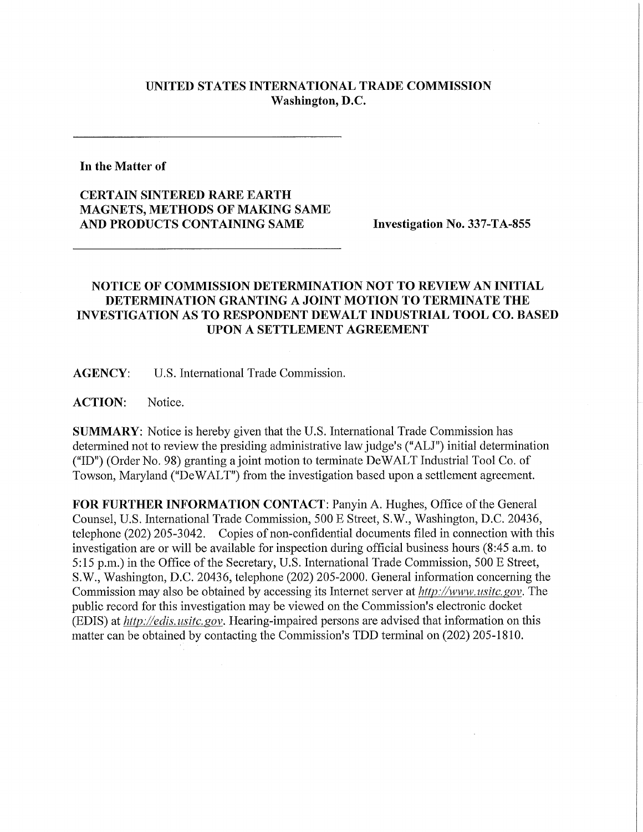## **UNITED STATES INTERNATIONAL TRADE COMMISSION Washington, D.C.**

**In the Matter of** 

**CERTAIN SINTERED RARE EARTH MAGNETS, METHODS OF MAKING SAME AND PRODUCTS CONTAINING SAME Investigation No. 337-TA-855** 

## **NOTICE OF COMMISSION DETERMINATION NOT TO REVIEW AN INITIAL DETERMINATION GRANTING A JOINT MOTION TO TERMINATE THE INVESTIGATION AS TO RESPONDENT DEWALT INDUSTRIAL TOOL CO. BASED UPON A SETTLEMENT AGREEMENT**

**AGENCY:** U.S. International Trade Commission.

**ACTION:** Notice.

**SUMMARY:** Notice is hereby given that the U.S. International Trade Commission has determined not to review the presiding administrative law judge's ("ALJ") initial determination ("ID") (Order No. 98) granting a joint motion to terminate DeWALT Industrial Tool Co. of Towson, Maryland ("DeWALT") from the investigation based upon a settlement agreement.

FOR FURTHER INFORMATION CONTACT: Panyin A. Hughes, Office of the General Counsel, U.S. International Trade Commission, 500 E Street, S.W., Washington, D.C. 20436, telephone (202) 205-3042. Copies of non-confidential documents filed in connection with this investigation are or will be available for inspection during official business hours (8:45 a.m. to 5:15 p.m.) in the Office of the Secretary, U.S. International Trade Commission, 500 E Street, S.W., Washington, D.C. 20436, telephone (202) 205-2000. General information concerning the Commission may also be obtained by accessing its Internet server at *http://www, usitc,gov.* The public record for this investigation may be viewed on the Commission's electronic docket (EDIS) at *http://edis. usitc. gov.* Hearing-impaired persons are advised that information on this matter can be obtained by contacting the Commission's TDD terminal on (202) 205-1810.